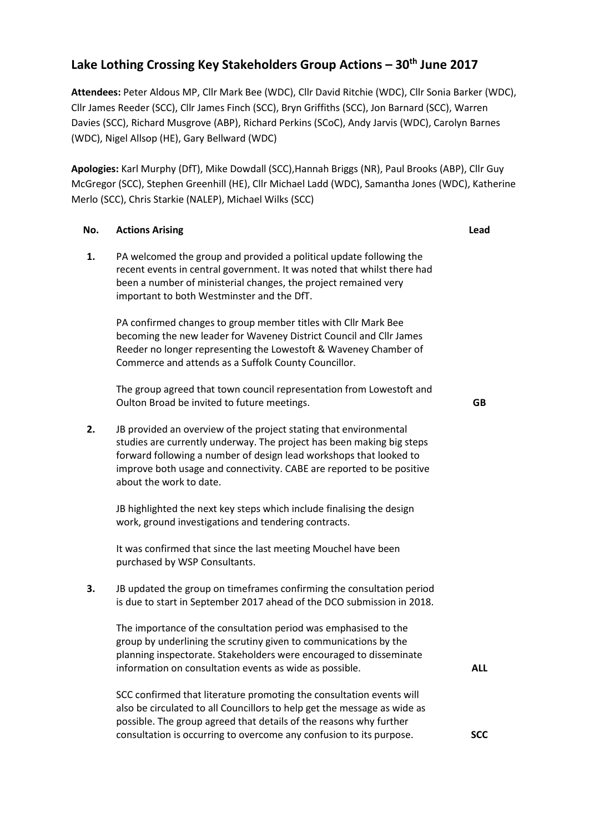## **Lake Lothing Crossing Key Stakeholders Group Actions – 30th June 2017**

**Attendees:** Peter Aldous MP, Cllr Mark Bee (WDC), Cllr David Ritchie (WDC), Cllr Sonia Barker (WDC), Cllr James Reeder (SCC), Cllr James Finch (SCC), Bryn Griffiths (SCC), Jon Barnard (SCC), Warren Davies (SCC), Richard Musgrove (ABP), Richard Perkins (SCoC), Andy Jarvis (WDC), Carolyn Barnes (WDC), Nigel Allsop (HE), Gary Bellward (WDC)

**Apologies:** Karl Murphy (DfT), Mike Dowdall (SCC),Hannah Briggs (NR), Paul Brooks (ABP), Cllr Guy McGregor (SCC), Stephen Greenhill (HE), Cllr Michael Ladd (WDC), Samantha Jones (WDC), Katherine Merlo (SCC), Chris Starkie (NALEP), Michael Wilks (SCC)

## **No. Actions Arising Lead 1.** PA welcomed the group and provided a political update following the recent events in central government. It was noted that whilst there had been a number of ministerial changes, the project remained very important to both Westminster and the DfT. PA confirmed changes to group member titles with Cllr Mark Bee becoming the new leader for Waveney District Council and Cllr James Reeder no longer representing the Lowestoft & Waveney Chamber of Commerce and attends as a Suffolk County Councillor. The group agreed that town council representation from Lowestoft and Oulton Broad be invited to future meetings. **GB 2.** JB provided an overview of the project stating that environmental studies are currently underway. The project has been making big steps forward following a number of design lead workshops that looked to improve both usage and connectivity. CABE are reported to be positive about the work to date. JB highlighted the next key steps which include finalising the design work, ground investigations and tendering contracts. It was confirmed that since the last meeting Mouchel have been purchased by WSP Consultants. **3.** JB updated the group on timeframes confirming the consultation period is due to start in September 2017 ahead of the DCO submission in 2018. The importance of the consultation period was emphasised to the group by underlining the scrutiny given to communications by the planning inspectorate. Stakeholders were encouraged to disseminate information on consultation events as wide as possible. SCC confirmed that literature promoting the consultation events will also be circulated to all Councillors to help get the message as wide as possible. The group agreed that details of the reasons why further consultation is occurring to overcome any confusion to its purpose. **ALL SCC**